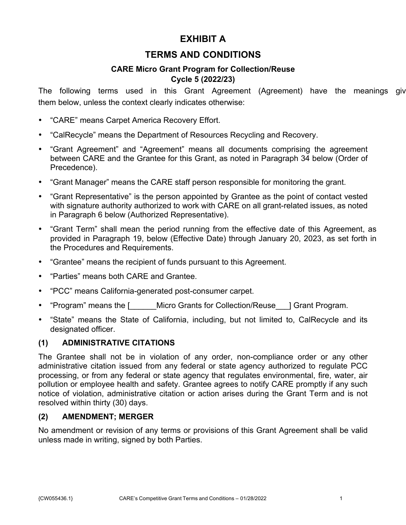# **EXHIBIT A**

## **TERMS AND CONDITIONS**

### **CARE Micro Grant Program for Collection/Reuse Cycle 5 (2022/23)**

The following terms used in this Grant Agreement (Agreement) have the meanings given them below, unless the context clearly indicates otherwise:

- "CARE" means Carpet America Recovery Effort.
- "CalRecycle" means the Department of Resources Recycling and Recovery.
- "Grant Agreement" and "Agreement" means all documents comprising the agreement between CARE and the Grantee for this Grant, as noted in Paragraph 34 below (Order of Precedence).
- "Grant Manager" means the CARE staff person responsible for monitoring the grant.
- "Grant Representative" is the person appointed by Grantee as the point of contact vested with signature authority authorized to work with CARE on all grant-related issues, as noted in Paragraph 6 below (Authorized Representative).
- "Grant Term" shall mean the period running from the effective date of this Agreement, as provided in Paragraph 19, below (Effective Date) through January 20, 2023, as set forth in the Procedures and Requirements.
- "Grantee" means the recipient of funds pursuant to this Agreement.
- "Parties" means both CARE and Grantee.
- "PCC" means California-generated post-consumer carpet.
- "Program" means the [ \_\_\_\_\_\_Micro Grants for Collection/Reuse \_\_\_] Grant Program.
- "State" means the State of California, including, but not limited to, CalRecycle and its designated officer.

### **(1) ADMINISTRATIVE CITATIONS**

The Grantee shall not be in violation of any order, non-compliance order or any other administrative citation issued from any federal or state agency authorized to regulate PCC processing, or from any federal or state agency that regulates environmental, fire, water, air pollution or employee health and safety. Grantee agrees to notify CARE promptly if any such notice of violation, administrative citation or action arises during the Grant Term and is not resolved within thirty (30) days.

#### **(2) AMENDMENT; MERGER**

No amendment or revision of any terms or provisions of this Grant Agreement shall be valid unless made in writing, signed by both Parties.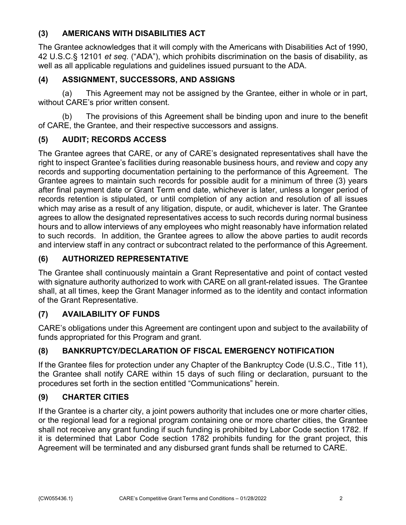### **(3) AMERICANS WITH DISABILITIES ACT**

The Grantee acknowledges that it will comply with the Americans with Disabilities Act of 1990, 42 U.S.C.§ 12101 *et seq.* ("ADA"), which prohibits discrimination on the basis of disability, as well as all applicable regulations and guidelines issued pursuant to the ADA.

### **(4) ASSIGNMENT, SUCCESSORS, AND ASSIGNS**

(a) This Agreement may not be assigned by the Grantee, either in whole or in part, without CARE's prior written consent.

(b) The provisions of this Agreement shall be binding upon and inure to the benefit of CARE, the Grantee, and their respective successors and assigns.

## **(5) AUDIT; RECORDS ACCESS**

The Grantee agrees that CARE, or any of CARE's designated representatives shall have the right to inspect Grantee's facilities during reasonable business hours, and review and copy any records and supporting documentation pertaining to the performance of this Agreement. The Grantee agrees to maintain such records for possible audit for a minimum of three (3) years after final payment date or Grant Term end date, whichever is later, unless a longer period of records retention is stipulated, or until completion of any action and resolution of all issues which may arise as a result of any litigation, dispute, or audit, whichever is later. The Grantee agrees to allow the designated representatives access to such records during normal business hours and to allow interviews of any employees who might reasonably have information related to such records. In addition, the Grantee agrees to allow the above parties to audit records and interview staff in any contract or subcontract related to the performance of this Agreement.

### **(6) AUTHORIZED REPRESENTATIVE**

The Grantee shall continuously maintain a Grant Representative and point of contact vested with signature authority authorized to work with CARE on all grant-related issues. The Grantee shall, at all times, keep the Grant Manager informed as to the identity and contact information of the Grant Representative.

### **(7) AVAILABILITY OF FUNDS**

CARE's obligations under this Agreement are contingent upon and subject to the availability of funds appropriated for this Program and grant.

## **(8) BANKRUPTCY/DECLARATION OF FISCAL EMERGENCY NOTIFICATION**

If the Grantee files for protection under any Chapter of the Bankruptcy Code (U.S.C., Title 11), the Grantee shall notify CARE within 15 days of such filing or declaration, pursuant to the procedures set forth in the section entitled "Communications" herein.

### **(9) CHARTER CITIES**

If the Grantee is a charter city, a joint powers authority that includes one or more charter cities, or the regional lead for a regional program containing one or more charter cities, the Grantee shall not receive any grant funding if such funding is prohibited by Labor Code section 1782. If it is determined that Labor Code section 1782 prohibits funding for the grant project, this Agreement will be terminated and any disbursed grant funds shall be returned to CARE.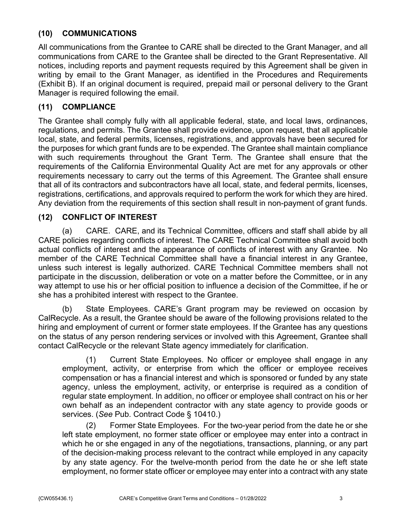### **(10) COMMUNICATIONS**

All communications from the Grantee to CARE shall be directed to the Grant Manager, and all communications from CARE to the Grantee shall be directed to the Grant Representative. All notices, including reports and payment requests required by this Agreement shall be given in writing by email to the Grant Manager, as identified in the Procedures and Requirements (Exhibit B). If an original document is required, prepaid mail or personal delivery to the Grant Manager is required following the email.

#### **(11) COMPLIANCE**

The Grantee shall comply fully with all applicable federal, state, and local laws, ordinances, regulations, and permits. The Grantee shall provide evidence, upon request, that all applicable local, state, and federal permits, licenses, registrations, and approvals have been secured for the purposes for which grant funds are to be expended. The Grantee shall maintain compliance with such requirements throughout the Grant Term. The Grantee shall ensure that the requirements of the California Environmental Quality Act are met for any approvals or other requirements necessary to carry out the terms of this Agreement. The Grantee shall ensure that all of its contractors and subcontractors have all local, state, and federal permits, licenses, registrations, certifications, and approvals required to perform the work for which they are hired. Any deviation from the requirements of this section shall result in non-payment of grant funds.

#### **(12) CONFLICT OF INTEREST**

(a) CARE. CARE, and its Technical Committee, officers and staff shall abide by all CARE policies regarding conflicts of interest. The CARE Technical Committee shall avoid both actual conflicts of interest and the appearance of conflicts of interest with any Grantee. No member of the CARE Technical Committee shall have a financial interest in any Grantee, unless such interest is legally authorized. CARE Technical Committee members shall not participate in the discussion, deliberation or vote on a matter before the Committee, or in any way attempt to use his or her official position to influence a decision of the Committee, if he or she has a prohibited interest with respect to the Grantee.

(b) State Employees. CARE's Grant program may be reviewed on occasion by CalRecycle. As a result, the Grantee should be aware of the following provisions related to the hiring and employment of current or former state employees. If the Grantee has any questions on the status of any person rendering services or involved with this Agreement, Grantee shall contact CalRecycle or the relevant State agency immediately for clarification.

(1) Current State Employees. No officer or employee shall engage in any employment, activity, or enterprise from which the officer or employee receives compensation or has a financial interest and which is sponsored or funded by any state agency, unless the employment, activity, or enterprise is required as a condition of regular state employment. In addition, no officer or employee shall contract on his or her own behalf as an independent contractor with any state agency to provide goods or services. (*See* Pub. Contract Code § 10410.)

(2) Former State Employees. For the two-year period from the date he or she left state employment, no former state officer or employee may enter into a contract in which he or she engaged in any of the negotiations, transactions, planning, or any part of the decision-making process relevant to the contract while employed in any capacity by any state agency. For the twelve-month period from the date he or she left state employment, no former state officer or employee may enter into a contract with any state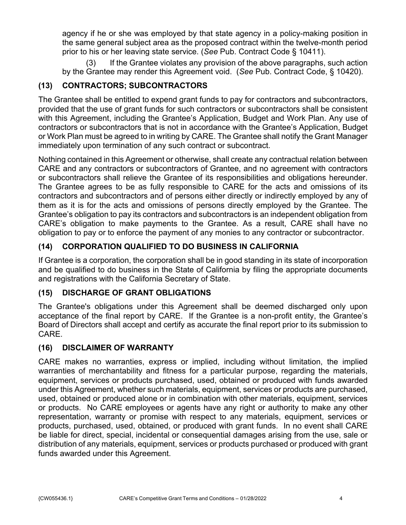agency if he or she was employed by that state agency in a policy-making position in the same general subject area as the proposed contract within the twelve-month period prior to his or her leaving state service. (*See* Pub. Contract Code § 10411).

(3) If the Grantee violates any provision of the above paragraphs, such action by the Grantee may render this Agreement void. (*See* Pub. Contract Code, § 10420).

### **(13) CONTRACTORS; SUBCONTRACTORS**

The Grantee shall be entitled to expend grant funds to pay for contractors and subcontractors, provided that the use of grant funds for such contractors or subcontractors shall be consistent with this Agreement, including the Grantee's Application, Budget and Work Plan. Any use of contractors or subcontractors that is not in accordance with the Grantee's Application, Budget or Work Plan must be agreed to in writing by CARE. The Grantee shall notify the Grant Manager immediately upon termination of any such contract or subcontract.

Nothing contained in this Agreement or otherwise, shall create any contractual relation between CARE and any contractors or subcontractors of Grantee, and no agreement with contractors or subcontractors shall relieve the Grantee of its responsibilities and obligations hereunder. The Grantee agrees to be as fully responsible to CARE for the acts and omissions of its contractors and subcontractors and of persons either directly or indirectly employed by any of them as it is for the acts and omissions of persons directly employed by the Grantee. The Grantee's obligation to pay its contractors and subcontractors is an independent obligation from CARE's obligation to make payments to the Grantee. As a result, CARE shall have no obligation to pay or to enforce the payment of any monies to any contractor or subcontractor.

## **(14) CORPORATION QUALIFIED TO DO BUSINESS IN CALIFORNIA**

If Grantee is a corporation, the corporation shall be in good standing in its state of incorporation and be qualified to do business in the State of California by filing the appropriate documents and registrations with the California Secretary of State.

### **(15) DISCHARGE OF GRANT OBLIGATIONS**

The Grantee's obligations under this Agreement shall be deemed discharged only upon acceptance of the final report by CARE. If the Grantee is a non-profit entity, the Grantee's Board of Directors shall accept and certify as accurate the final report prior to its submission to CARE.

### **(16) DISCLAIMER OF WARRANTY**

CARE makes no warranties, express or implied, including without limitation, the implied warranties of merchantability and fitness for a particular purpose, regarding the materials, equipment, services or products purchased, used, obtained or produced with funds awarded under this Agreement, whether such materials, equipment, services or products are purchased, used, obtained or produced alone or in combination with other materials, equipment, services or products. No CARE employees or agents have any right or authority to make any other representation, warranty or promise with respect to any materials, equipment, services or products, purchased, used, obtained, or produced with grant funds. In no event shall CARE be liable for direct, special, incidental or consequential damages arising from the use, sale or distribution of any materials, equipment, services or products purchased or produced with grant funds awarded under this Agreement.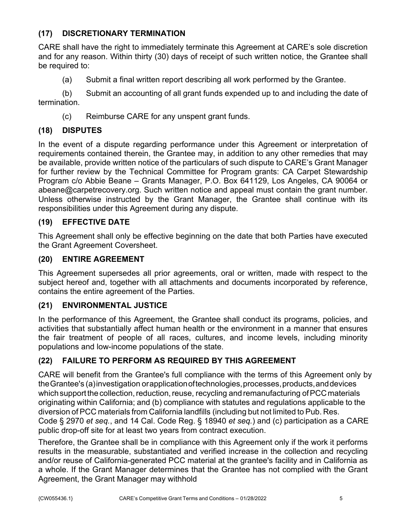### **(17) DISCRETIONARY TERMINATION**

CARE shall have the right to immediately terminate this Agreement at CARE's sole discretion and for any reason. Within thirty (30) days of receipt of such written notice, the Grantee shall be required to:

(a) Submit a final written report describing all work performed by the Grantee.

(b) Submit an accounting of all grant funds expended up to and including the date of termination.

(c) Reimburse CARE for any unspent grant funds.

## **(18) DISPUTES**

In the event of a dispute regarding performance under this Agreement or interpretation of requirements contained therein, the Grantee may, in addition to any other remedies that may be available, provide written notice of the particulars of such dispute to CARE's Grant Manager for further review by the Technical Committee for Program grants: CA Carpet Stewardship Program c/o Abbie Beane – Grants Manager, P.O. Box 641129, Los Angeles, CA 90064 or abeane@carpetrecovery.org. Such written notice and appeal must contain the grant number. Unless otherwise instructed by the Grant Manager, the Grantee shall continue with its responsibilities under this Agreement during any dispute.

### **(19) EFFECTIVE DATE**

This Agreement shall only be effective beginning on the date that both Parties have executed the Grant Agreement Coversheet.

### **(20) ENTIRE AGREEMENT**

This Agreement supersedes all prior agreements, oral or written, made with respect to the subject hereof and, together with all attachments and documents incorporated by reference, contains the entire agreement of the Parties.

## **(21) ENVIRONMENTAL JUSTICE**

In the performance of this Agreement, the Grantee shall conduct its programs, policies, and activities that substantially affect human health or the environment in a manner that ensures the fair treatment of people of all races, cultures, and income levels, including minority populations and low-income populations of the state.

## **(22) FAILURE TO PERFORM AS REQUIRED BY THIS AGREEMENT**

CARE will benefit from the Grantee's full compliance with the terms of this Agreement only by the Grantee's (a) investigation or application of technologies, processes, products, and devices which support the collection, reduction, reuse, recycling and remanufacturing of PCC materials originating within California; and (b) compliance with statutes and regulations applicable to the diversion of PCC materials from California landfills (including but not limited to Pub. Res. Code § 2970 *et seq.*, and 14 Cal. Code Reg. § 18940 *et seq.*) and (c) participation as a CARE public drop-off site for at least two years from contract execution.

Therefore, the Grantee shall be in compliance with this Agreement only if the work it performs results in the measurable, substantiated and verified increase in the collection and recycling and/or reuse of California-generated PCC material at the grantee's facility and in California as a whole. If the Grant Manager determines that the Grantee has not complied with the Grant Agreement, the Grant Manager may withhold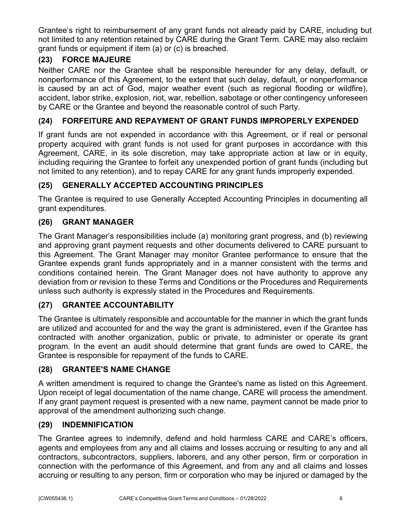Grantee's right to reimbursement of any grant funds not already paid by CARE, including but not limited to any retention retained by CARE during the Grant Term. CARE may also reclaim grant funds or equipment if item (a) or (c) is breached.

### **(23) FORCE MAJEURE**

Neither CARE nor the Grantee shall be responsible hereunder for any delay, default, or nonperformance of this Agreement, to the extent that such delay, default, or nonperformance is caused by an act of God, major weather event (such as regional flooding or wildfire), accident, labor strike, explosion, riot, war, rebellion, sabotage or other contingency unforeseen by CARE or the Grantee and beyond the reasonable control of such Party.

### **(24) FORFEITURE AND REPAYMENT OF GRANT FUNDS IMPROPERLY EXPENDED**

If grant funds are not expended in accordance with this Agreement, or if real or personal property acquired with grant funds is not used for grant purposes in accordance with this Agreement, CARE, in its sole discretion, may take appropriate action at law or in equity, including requiring the Grantee to forfeit any unexpended portion of grant funds (including but not limited to any retention), and to repay CARE for any grant funds improperly expended.

### **(25) GENERALLY ACCEPTED ACCOUNTING PRINCIPLES**

The Grantee is required to use Generally Accepted Accounting Principles in documenting all grant expenditures.

### **(26) GRANT MANAGER**

The Grant Manager's responsibilities include (a) monitoring grant progress, and (b) reviewing and approving grant payment requests and other documents delivered to CARE pursuant to this Agreement. The Grant Manager may monitor Grantee performance to ensure that the Grantee expends grant funds appropriately and in a manner consistent with the terms and conditions contained herein. The Grant Manager does not have authority to approve any deviation from or revision to these Terms and Conditions or the Procedures and Requirements unless such authority is expressly stated in the Procedures and Requirements.

### **(27) GRANTEE ACCOUNTABILITY**

The Grantee is ultimately responsible and accountable for the manner in which the grant funds are utilized and accounted for and the way the grant is administered, even if the Grantee has contracted with another organization, public or private, to administer or operate its grant program. In the event an audit should determine that grant funds are owed to CARE, the Grantee is responsible for repayment of the funds to CARE.

#### **(28) GRANTEE'S NAME CHANGE**

A written amendment is required to change the Grantee's name as listed on this Agreement. Upon receipt of legal documentation of the name change, CARE will process the amendment. If any grant payment request is presented with a new name, payment cannot be made prior to approval of the amendment authorizing such change.

#### **(29) INDEMNIFICATION**

The Grantee agrees to indemnify, defend and hold harmless CARE and CARE's officers, agents and employees from any and all claims and losses accruing or resulting to any and all contractors, subcontractors, suppliers, laborers, and any other person, firm or corporation in connection with the performance of this Agreement, and from any and all claims and losses accruing or resulting to any person, firm or corporation who may be injured or damaged by the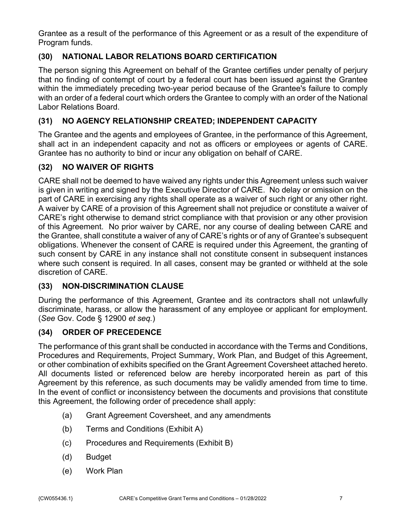Grantee as a result of the performance of this Agreement or as a result of the expenditure of Program funds.

## **(30) NATIONAL LABOR RELATIONS BOARD CERTIFICATION**

The person signing this Agreement on behalf of the Grantee certifies under penalty of perjury that no finding of contempt of court by a federal court has been issued against the Grantee within the immediately preceding two-year period because of the Grantee's failure to comply with an order of a federal court which orders the Grantee to comply with an order of the National Labor Relations Board.

### **(31) NO AGENCY RELATIONSHIP CREATED; INDEPENDENT CAPACITY**

The Grantee and the agents and employees of Grantee, in the performance of this Agreement, shall act in an independent capacity and not as officers or employees or agents of CARE. Grantee has no authority to bind or incur any obligation on behalf of CARE.

### **(32) NO WAIVER OF RIGHTS**

CARE shall not be deemed to have waived any rights under this Agreement unless such waiver is given in writing and signed by the Executive Director of CARE. No delay or omission on the part of CARE in exercising any rights shall operate as a waiver of such right or any other right. A waiver by CARE of a provision of this Agreement shall not prejudice or constitute a waiver of CARE's right otherwise to demand strict compliance with that provision or any other provision of this Agreement. No prior waiver by CARE, nor any course of dealing between CARE and the Grantee, shall constitute a waiver of any of CARE's rights or of any of Grantee's subsequent obligations. Whenever the consent of CARE is required under this Agreement, the granting of such consent by CARE in any instance shall not constitute consent in subsequent instances where such consent is required. In all cases, consent may be granted or withheld at the sole discretion of CARE.

### **(33) NON-DISCRIMINATION CLAUSE**

During the performance of this Agreement, Grantee and its contractors shall not unlawfully discriminate, harass, or allow the harassment of any employee or applicant for employment. (*See* Gov. Code § 12900 *et seq.*)

### **(34) ORDER OF PRECEDENCE**

The performance of this grant shall be conducted in accordance with the Terms and Conditions, Procedures and Requirements, Project Summary, Work Plan, and Budget of this Agreement, or other combination of exhibits specified on the Grant Agreement Coversheet attached hereto. All documents listed or referenced below are hereby incorporated herein as part of this Agreement by this reference, as such documents may be validly amended from time to time. In the event of conflict or inconsistency between the documents and provisions that constitute this Agreement, the following order of precedence shall apply:

- (a) Grant Agreement Coversheet, and any amendments
- (b) Terms and Conditions (Exhibit A)
- (c) Procedures and Requirements (Exhibit B)
- (d) Budget
- (e) Work Plan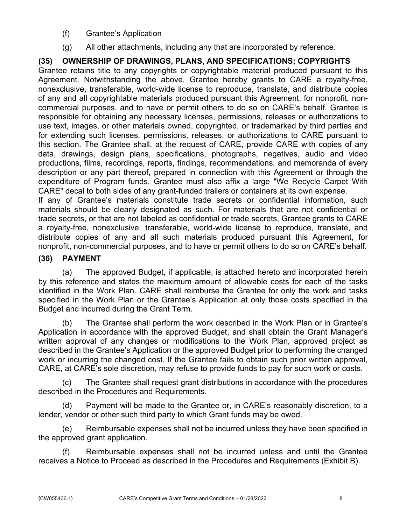- (f) Grantee's Application
- (g) All other attachments, including any that are incorporated by reference.

### **(35) OWNERSHIP OF DRAWINGS, PLANS, AND SPECIFICATIONS; COPYRIGHTS**

Grantee retains title to any copyrights or copyrightable material produced pursuant to this Agreement. Notwithstanding the above, Grantee hereby grants to CARE a royalty-free, nonexclusive, transferable, world-wide license to reproduce, translate, and distribute copies of any and all copyrightable materials produced pursuant this Agreement, for nonprofit, noncommercial purposes, and to have or permit others to do so on CARE's behalf. Grantee is responsible for obtaining any necessary licenses, permissions, releases or authorizations to use text, images, or other materials owned, copyrighted, or trademarked by third parties and for extending such licenses, permissions, releases, or authorizations to CARE pursuant to this section. The Grantee shall, at the request of CARE, provide CARE with copies of any data, drawings, design plans, specifications, photographs, negatives, audio and video productions, films, recordings, reports, findings, recommendations, and memoranda of every description or any part thereof, prepared in connection with this Agreement or through the expenditure of Program funds. Grantee must also affix a large "We Recycle Carpet With CARE" decal to both sides of any grant-funded trailers or containers at its own expense.

If any of Grantee's materials constitute trade secrets or confidential information, such materials should be clearly designated as such. For materials that are not confidential or trade secrets, or that are not labeled as confidential or trade secrets, Grantee grants to CARE a royalty-free, nonexclusive, transferable, world-wide license to reproduce, translate, and distribute copies of any and all such materials produced pursuant this Agreement, for nonprofit, non-commercial purposes, and to have or permit others to do so on CARE's behalf.

### **(36) PAYMENT**

(a) The approved Budget, if applicable, is attached hereto and incorporated herein by this reference and states the maximum amount of allowable costs for each of the tasks identified in the Work Plan. CARE shall reimburse the Grantee for only the work and tasks specified in the Work Plan or the Grantee's Application at only those costs specified in the Budget and incurred during the Grant Term.

(b) The Grantee shall perform the work described in the Work Plan or in Grantee's Application in accordance with the approved Budget, and shall obtain the Grant Manager's written approval of any changes or modifications to the Work Plan, approved project as described in the Grantee's Application or the approved Budget prior to performing the changed work or incurring the changed cost. If the Grantee fails to obtain such prior written approval, CARE, at CARE's sole discretion, may refuse to provide funds to pay for such work or costs.

(c) The Grantee shall request grant distributions in accordance with the procedures described in the Procedures and Requirements.

(d) Payment will be made to the Grantee or, in CARE's reasonably discretion, to a lender, vendor or other such third party to which Grant funds may be owed.

(e) Reimbursable expenses shall not be incurred unless they have been specified in the approved grant application.

(f) Reimbursable expenses shall not be incurred unless and until the Grantee receives a Notice to Proceed as described in the Procedures and Requirements (Exhibit B).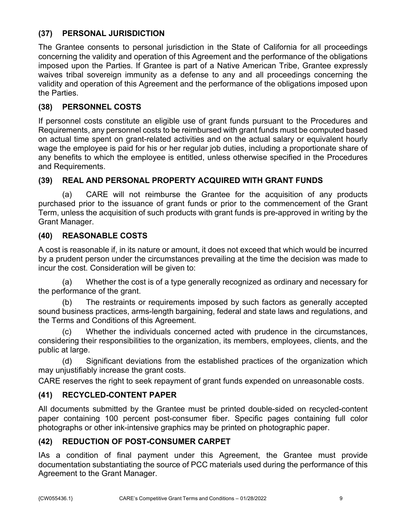### **(37) PERSONAL JURISDICTION**

The Grantee consents to personal jurisdiction in the State of California for all proceedings concerning the validity and operation of this Agreement and the performance of the obligations imposed upon the Parties. If Grantee is part of a Native American Tribe, Grantee expressly waives tribal sovereign immunity as a defense to any and all proceedings concerning the validity and operation of this Agreement and the performance of the obligations imposed upon the Parties.

### **(38) PERSONNEL COSTS**

If personnel costs constitute an eligible use of grant funds pursuant to the Procedures and Requirements, any personnel costs to be reimbursed with grant funds must be computed based on actual time spent on grant-related activities and on the actual salary or equivalent hourly wage the employee is paid for his or her regular job duties, including a proportionate share of any benefits to which the employee is entitled, unless otherwise specified in the Procedures and Requirements.

### **(39) REAL AND PERSONAL PROPERTY ACQUIRED WITH GRANT FUNDS**

(a) CARE will not reimburse the Grantee for the acquisition of any products purchased prior to the issuance of grant funds or prior to the commencement of the Grant Term, unless the acquisition of such products with grant funds is pre-approved in writing by the Grant Manager.

### **(40) REASONABLE COSTS**

A cost is reasonable if, in its nature or amount, it does not exceed that which would be incurred by a prudent person under the circumstances prevailing at the time the decision was made to incur the cost. Consideration will be given to:

(a) Whether the cost is of a type generally recognized as ordinary and necessary for the performance of the grant.

(b) The restraints or requirements imposed by such factors as generally accepted sound business practices, arms-length bargaining, federal and state laws and regulations, and the Terms and Conditions of this Agreement.

(c) Whether the individuals concerned acted with prudence in the circumstances, considering their responsibilities to the organization, its members, employees, clients, and the public at large.

(d) Significant deviations from the established practices of the organization which may unjustifiably increase the grant costs.

CARE reserves the right to seek repayment of grant funds expended on unreasonable costs.

### **(41) RECYCLED-CONTENT PAPER**

All documents submitted by the Grantee must be printed double-sided on recycled-content paper containing 100 percent post-consumer fiber. Specific pages containing full color photographs or other ink-intensive graphics may be printed on photographic paper.

### **(42) REDUCTION OF POST-CONSUMER CARPET**

IAs a condition of final payment under this Agreement, the Grantee must provide documentation substantiating the source of PCC materials used during the performance of this Agreement to the Grant Manager.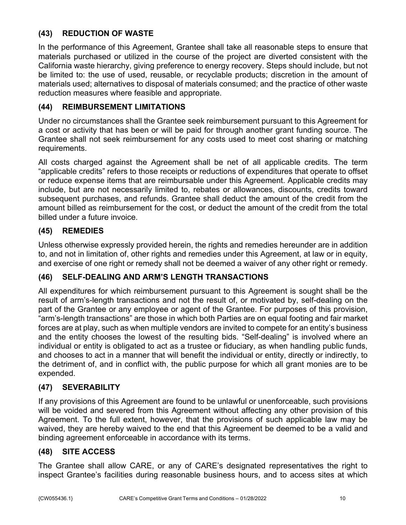### **(43) REDUCTION OF WASTE**

In the performance of this Agreement, Grantee shall take all reasonable steps to ensure that materials purchased or utilized in the course of the project are diverted consistent with the California waste hierarchy, giving preference to energy recovery. Steps should include, but not be limited to: the use of used, reusable, or recyclable products; discretion in the amount of materials used; alternatives to disposal of materials consumed; and the practice of other waste reduction measures where feasible and appropriate.

### **(44) REIMBURSEMENT LIMITATIONS**

Under no circumstances shall the Grantee seek reimbursement pursuant to this Agreement for a cost or activity that has been or will be paid for through another grant funding source. The Grantee shall not seek reimbursement for any costs used to meet cost sharing or matching requirements.

All costs charged against the Agreement shall be net of all applicable credits. The term "applicable credits" refers to those receipts or reductions of expenditures that operate to offset or reduce expense items that are reimbursable under this Agreement. Applicable credits may include, but are not necessarily limited to, rebates or allowances, discounts, credits toward subsequent purchases, and refunds. Grantee shall deduct the amount of the credit from the amount billed as reimbursement for the cost, or deduct the amount of the credit from the total billed under a future invoice.

### **(45) REMEDIES**

Unless otherwise expressly provided herein, the rights and remedies hereunder are in addition to, and not in limitation of, other rights and remedies under this Agreement, at law or in equity, and exercise of one right or remedy shall not be deemed a waiver of any other right or remedy.

## **(46) SELF-DEALING AND ARM'S LENGTH TRANSACTIONS**

All expenditures for which reimbursement pursuant to this Agreement is sought shall be the result of arm's-length transactions and not the result of, or motivated by, self-dealing on the part of the Grantee or any employee or agent of the Grantee. For purposes of this provision, "arm's-length transactions" are those in which both Parties are on equal footing and fair market forces are at play, such as when multiple vendors are invited to compete for an entity's business and the entity chooses the lowest of the resulting bids. "Self-dealing" is involved where an individual or entity is obligated to act as a trustee or fiduciary, as when handling public funds, and chooses to act in a manner that will benefit the individual or entity, directly or indirectly, to the detriment of, and in conflict with, the public purpose for which all grant monies are to be expended.

## **(47) SEVERABILITY**

If any provisions of this Agreement are found to be unlawful or unenforceable, such provisions will be voided and severed from this Agreement without affecting any other provision of this Agreement. To the full extent, however, that the provisions of such applicable law may be waived, they are hereby waived to the end that this Agreement be deemed to be a valid and binding agreement enforceable in accordance with its terms.

## **(48) SITE ACCESS**

The Grantee shall allow CARE, or any of CARE's designated representatives the right to inspect Grantee's facilities during reasonable business hours, and to access sites at which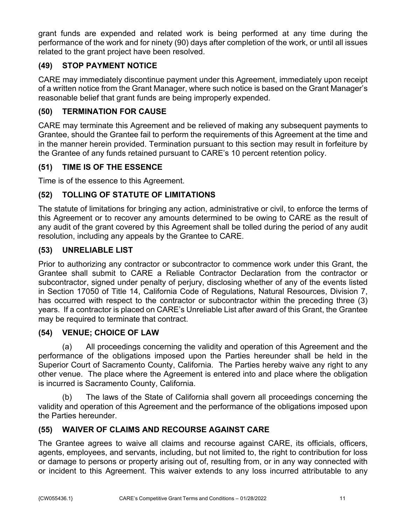grant funds are expended and related work is being performed at any time during the performance of the work and for ninety (90) days after completion of the work, or until all issues related to the grant project have been resolved.

### **(49) STOP PAYMENT NOTICE**

CARE may immediately discontinue payment under this Agreement, immediately upon receipt of a written notice from the Grant Manager, where such notice is based on the Grant Manager's reasonable belief that grant funds are being improperly expended.

### **(50) TERMINATION FOR CAUSE**

CARE may terminate this Agreement and be relieved of making any subsequent payments to Grantee, should the Grantee fail to perform the requirements of this Agreement at the time and in the manner herein provided. Termination pursuant to this section may result in forfeiture by the Grantee of any funds retained pursuant to CARE's 10 percent retention policy.

### **(51) TIME IS OF THE ESSENCE**

Time is of the essence to this Agreement.

#### **(52) TOLLING OF STATUTE OF LIMITATIONS**

The statute of limitations for bringing any action, administrative or civil, to enforce the terms of this Agreement or to recover any amounts determined to be owing to CARE as the result of any audit of the grant covered by this Agreement shall be tolled during the period of any audit resolution, including any appeals by the Grantee to CARE.

#### **(53) UNRELIABLE LIST**

Prior to authorizing any contractor or subcontractor to commence work under this Grant, the Grantee shall submit to CARE a Reliable Contractor Declaration from the contractor or subcontractor, signed under penalty of perjury, disclosing whether of any of the events listed in Section 17050 of Title 14, California Code of Regulations, Natural Resources, Division 7, has occurred with respect to the contractor or subcontractor within the preceding three (3) years. If a contractor is placed on CARE's Unreliable List after award of this Grant, the Grantee may be required to terminate that contract.

#### **(54) VENUE; CHOICE OF LAW**

(a) All proceedings concerning the validity and operation of this Agreement and the performance of the obligations imposed upon the Parties hereunder shall be held in the Superior Court of Sacramento County, California. The Parties hereby waive any right to any other venue. The place where the Agreement is entered into and place where the obligation is incurred is Sacramento County, California.

(b) The laws of the State of California shall govern all proceedings concerning the validity and operation of this Agreement and the performance of the obligations imposed upon the Parties hereunder.

### **(55) WAIVER OF CLAIMS AND RECOURSE AGAINST CARE**

The Grantee agrees to waive all claims and recourse against CARE, its officials, officers, agents, employees, and servants, including, but not limited to, the right to contribution for loss or damage to persons or property arising out of, resulting from, or in any way connected with or incident to this Agreement. This waiver extends to any loss incurred attributable to any